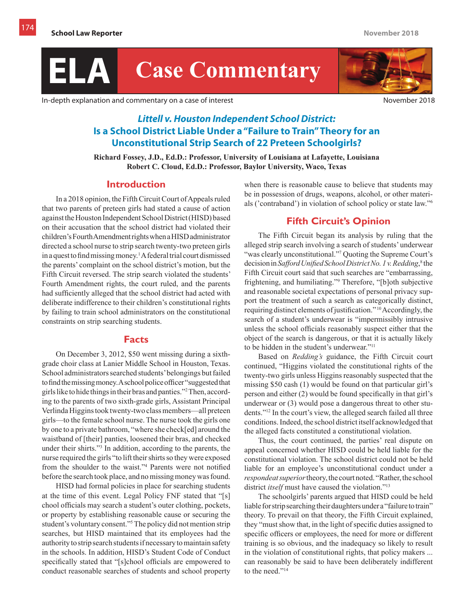

In-depth explanation and commentary on a case of interest November 2018

# *Littell v. Houston Independent School District:* **Is a School District Liable Under a "Failure to Train" Theory for an Unconstitutional Strip Search of 22 Preteen Schoolgirls?**

**Richard Fossey, J.D., Ed.D.: Professor, University of Louisiana at Lafayette, Louisiana Robert C. Cloud, Ed.D.: Professor, Baylor University, Waco, Texas**

### **Introduction**

In a 2018 opinion, the Fifth Circuit Court of Appeals ruled that two parents of preteen girls had stated a cause of action against the Houston Independent School District (HISD) based on their accusation that the school district had violated their children's Fourth Amendment rights when a HISD administrator directed a school nurse to strip search twenty-two preteen girls in a quest to find missing money.<sup>1</sup> A federal trial court dismissed the parents' complaint on the school district's motion, but the Fifth Circuit reversed. The strip search violated the students' Fourth Amendment rights, the court ruled, and the parents had sufficiently alleged that the school district had acted with deliberate indifference to their children's constitutional rights by failing to train school administrators on the constitutional constraints on strip searching students.

### **Facts**

On December 3, 2012, \$50 went missing during a sixthgrade choir class at Lanier Middle School in Houston, Texas. School administrators searched students' belongings but failed to find the missing money. A school police officer "suggested that girls like to hide things in their bras and panties."<sup>2</sup> Then, according to the parents of two sixth-grade girls, Assistant Principal Verlinda Higgins took twenty-two class members—all preteen girls—to the female school nurse. The nurse took the girls one by one to a private bathroom, "where she check[ed] around the waistband of [their] panties, loosened their bras, and checked under their shirts."<sup>3</sup> In addition, according to the parents, the nurse required the girls "to lift their shirts so they were exposed from the shoulder to the waist."<sup>4</sup> Parents were not notified before the search took place, and no missing money was found.

HISD had formal policies in place for searching students at the time of this event. Legal Policy FNF stated that "[s] chool officials may search a student's outer clothing, pockets, or property by establishing reasonable cause or securing the student's voluntary consent."<sup>5</sup> The policy did not mention strip searches, but HISD maintained that its employees had the authority to strip search students if necessary to maintain safety in the schools. In addition, HISD's Student Code of Conduct specifically stated that "[s]chool officials are empowered to conduct reasonable searches of students and school property

when there is reasonable cause to believe that students may be in possession of drugs, weapons, alcohol, or other materials ('contraband') in violation of school policy or state law."<sup>6</sup>

# **Fifth Circuit's Opinion**

The Fifth Circuit began its analysis by ruling that the alleged strip search involving a search of students' underwear "was clearly unconstitutional."<sup>7</sup> Quoting the Supreme Court's decision in *Safford Unified School District No. 1 v. Redding*, 8 the Fifth Circuit court said that such searches are "embarrassing, frightening, and humiliating."<sup>9</sup> Therefore, "[b]oth subjective and reasonable societal expectations of personal privacy support the treatment of such a search as categorically distinct, requiring distinct elements of justification." 10 Accordingly, the search of a student's underwear is "impermissibly intrusive unless the school officials reasonably suspect either that the object of the search is dangerous, or that it is actually likely to be hidden in the student's underwear."<sup>11</sup>

Based on *Redding's* guidance, the Fifth Circuit court continued, "Higgins violated the constitutional rights of the twenty-two girls unless Higgins reasonably suspected that the missing \$50 cash (1) would be found on that particular girl's person and either (2) would be found specifically in that girl's underwear or (3) would pose a dangerous threat to other students."12 In the court's view, the alleged search failed all three conditions. Indeed, the school district itself acknowledged that the alleged facts constituted a constitutional violation.

Thus, the court continued, the parties' real dispute on appeal concerned whether HISD could be held liable for the constitutional violation. The school district could not be held liable for an employee's unconstitutional conduct under a *respondeat superior* theory, the court noted. "Rather, the school district *itself* must have caused the violation."<sup>13</sup>

The schoolgirls' parents argued that HISD could be held liable for strip searching their daughters under a "failure to train" theory. To prevail on that theory, the Fifth Circuit explained, they "must show that, in the light of specific duties assigned to specific officers or employees, the need for more or different training is so obvious, and the inadequacy so likely to result in the violation of constitutional rights, that policy makers ... can reasonably be said to have been deliberately indifferent to the need."<sup>14</sup>